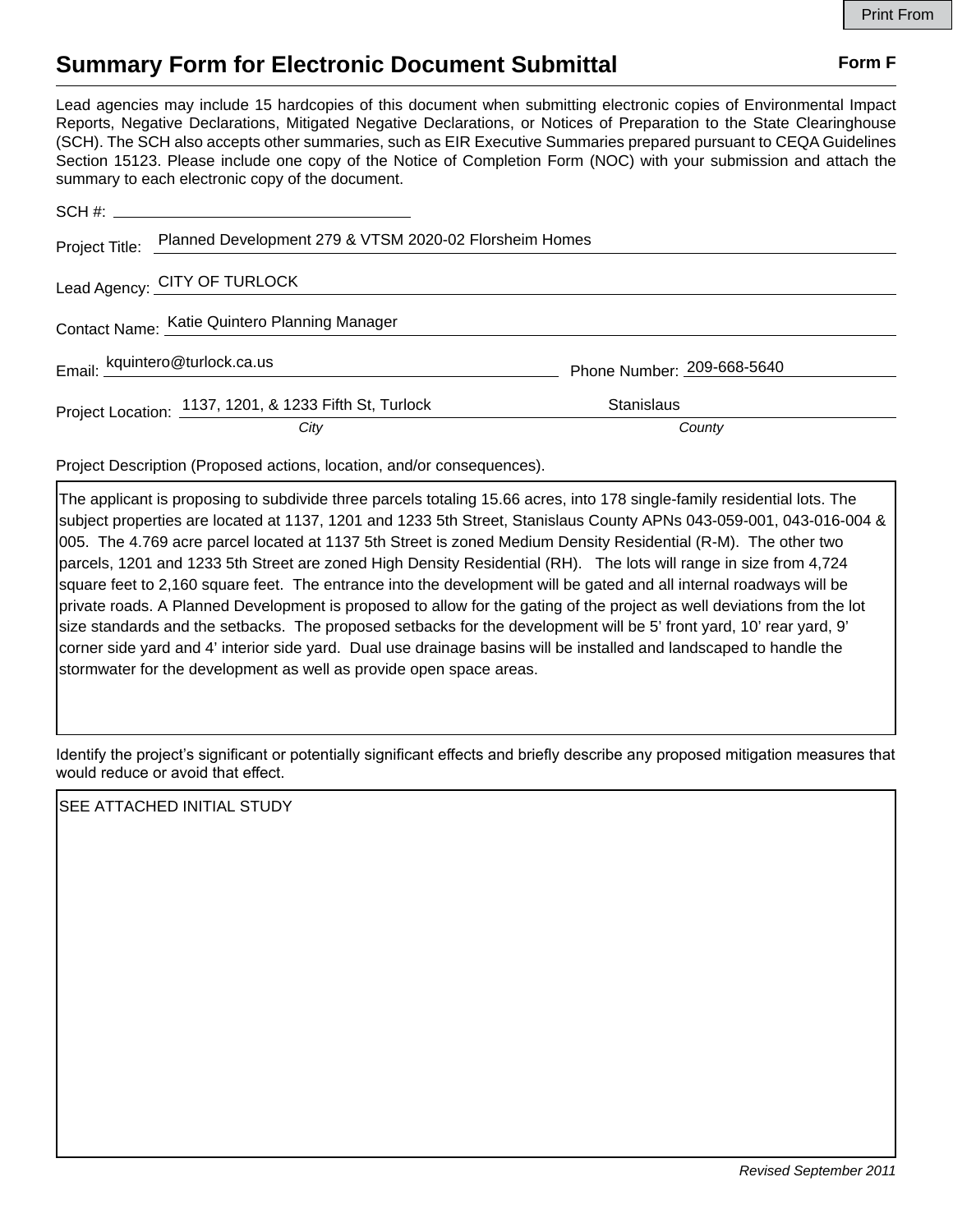## **Summary Form for Electronic Document Submittal Form F Form F**

Lead agencies may include 15 hardcopies of this document when submitting electronic copies of Environmental Impact Reports, Negative Declarations, Mitigated Negative Declarations, or Notices of Preparation to the State Clearinghouse (SCH). The SCH also accepts other summaries, such as EIR Executive Summaries prepared pursuant to CEQA Guidelines Section 15123. Please include one copy of the Notice of Completion Form (NOC) with your submission and attach the summary to each electronic copy of the document.

|                                               | Project Title: Planned Development 279 & VTSM 2020-02 Florsheim Homes |                            |  |
|-----------------------------------------------|-----------------------------------------------------------------------|----------------------------|--|
|                                               | Lead Agency: CITY OF TURLOCK                                          |                            |  |
| Contact Name: Katie Quintero Planning Manager |                                                                       |                            |  |
|                                               | Email: kquintero@turlock.ca.us                                        | Phone Number: 209-668-5640 |  |
|                                               | Project Location: 1137, 1201, & 1233 Fifth St, Turlock                | <b>Stanislaus</b>          |  |
|                                               | City                                                                  | County                     |  |

Project Description (Proposed actions, location, and/or consequences).

The applicant is proposing to subdivide three parcels totaling 15.66 acres, into 178 single-family residential lots. The subject properties are located at 1137, 1201 and 1233 5th Street, Stanislaus County APNs 043-059-001, 043-016-004 & 005. The 4.769 acre parcel located at 1137 5th Street is zoned Medium Density Residential (R-M). The other two parcels, 1201 and 1233 5th Street are zoned High Density Residential (RH). The lots will range in size from 4,724 square feet to 2,160 square feet. The entrance into the development will be gated and all internal roadways will be private roads. A Planned Development is proposed to allow for the gating of the project as well deviations from the lot size standards and the setbacks. The proposed setbacks for the development will be 5' front yard, 10' rear yard, 9' corner side yard and 4' interior side yard. Dual use drainage basins will be installed and landscaped to handle the stormwater for the development as well as provide open space areas.

Identify the project's significant or potentially significant effects and briefly describe any proposed mitigation measures that would reduce or avoid that effect.

SEE ATTACHED INITIAL STUDY